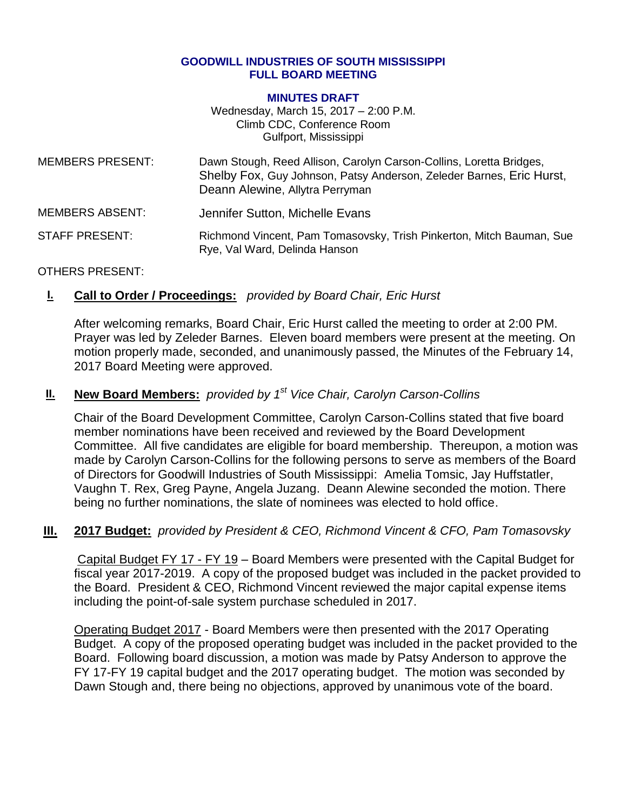#### **GOODWILL INDUSTRIES OF SOUTH MISSISSIPPI FULL BOARD MEETING**

#### **MINUTES DRAFT**

Wednesday, March 15, 2017 – 2:00 P.M. Climb CDC, Conference Room Gulfport, Mississippi

| <b>MEMBERS PRESENT:</b> | Dawn Stough, Reed Allison, Carolyn Carson-Collins, Loretta Bridges,<br>Shelby Fox, Guy Johnson, Patsy Anderson, Zeleder Barnes, Eric Hurst,<br>Deann Alewine, Allytra Perryman |
|-------------------------|--------------------------------------------------------------------------------------------------------------------------------------------------------------------------------|
| <b>MEMBERS ABSENT:</b>  | Jennifer Sutton, Michelle Evans                                                                                                                                                |
| STAFF PRESENT:          | Richmond Vincent, Pam Tomasovsky, Trish Pinkerton, Mitch Bauman, Sue<br>Rye, Val Ward, Delinda Hanson                                                                          |

### OTHERS PRESENT:

## **I. Call to Order / Proceedings:** *provided by Board Chair, Eric Hurst*

After welcoming remarks, Board Chair, Eric Hurst called the meeting to order at 2:00 PM. Prayer was led by Zeleder Barnes. Eleven board members were present at the meeting. On motion properly made, seconded, and unanimously passed, the Minutes of the February 14, 2017 Board Meeting were approved.

# **II. New Board Members:** *provided by 1st Vice Chair, Carolyn Carson-Collins*

Chair of the Board Development Committee, Carolyn Carson-Collins stated that five board member nominations have been received and reviewed by the Board Development Committee. All five candidates are eligible for board membership. Thereupon, a motion was made by Carolyn Carson-Collins for the following persons to serve as members of the Board of Directors for Goodwill Industries of South Mississippi: Amelia Tomsic, Jay Huffstatler, Vaughn T. Rex, Greg Payne, Angela Juzang. Deann Alewine seconded the motion. There being no further nominations, the slate of nominees was elected to hold office.

## **III. 2017 Budget:** *provided by President & CEO, Richmond Vincent & CFO, Pam Tomasovsky*

Capital Budget FY 17 - FY 19 – Board Members were presented with the Capital Budget for fiscal year 2017-2019. A copy of the proposed budget was included in the packet provided to the Board. President & CEO, Richmond Vincent reviewed the major capital expense items including the point-of-sale system purchase scheduled in 2017.

Operating Budget 2017 - Board Members were then presented with the 2017 Operating Budget. A copy of the proposed operating budget was included in the packet provided to the Board. Following board discussion, a motion was made by Patsy Anderson to approve the FY 17-FY 19 capital budget and the 2017 operating budget. The motion was seconded by Dawn Stough and, there being no objections, approved by unanimous vote of the board.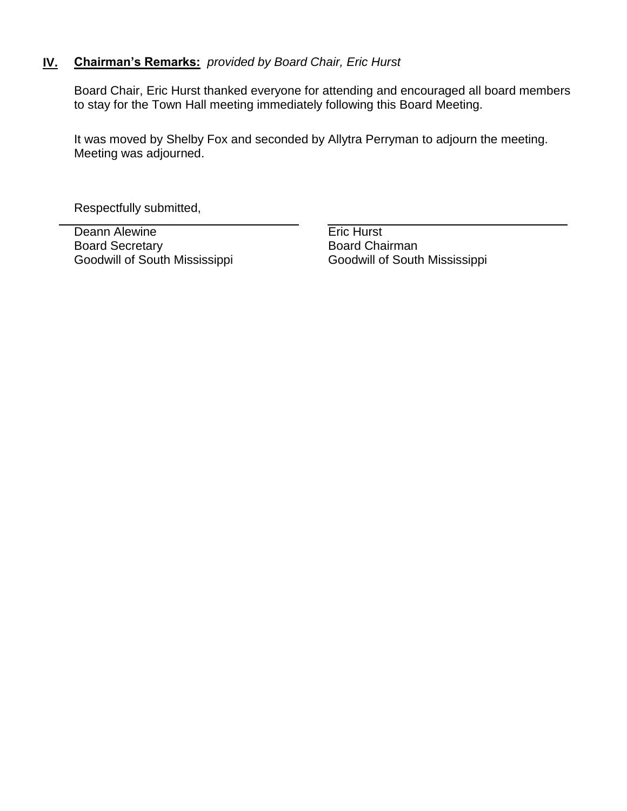## **IV. Chairman's Remarks:** *provided by Board Chair, Eric Hurst*

Board Chair, Eric Hurst thanked everyone for attending and encouraged all board members to stay for the Town Hall meeting immediately following this Board Meeting.

It was moved by Shelby Fox and seconded by Allytra Perryman to adjourn the meeting. Meeting was adjourned.

Respectfully submitted,

Deann Alewine **Existence** Eric Hurst Board Secretary Goodwill of South Mississippi

Board Chairman Goodwill of South Mississippi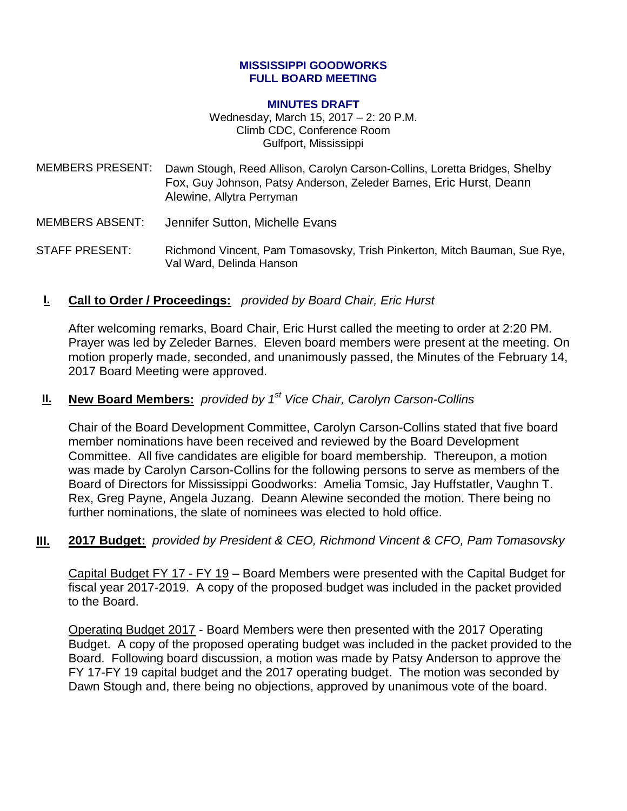### **MISSISSIPPI GOODWORKS FULL BOARD MEETING**

#### **MINUTES DRAFT**

Wednesday, March 15, 2017 – 2: 20 P.M. Climb CDC, Conference Room Gulfport, Mississippi

- MEMBERS PRESENT: Dawn Stough, Reed Allison, Carolyn Carson-Collins, Loretta Bridges, Shelby Fox, Guy Johnson, Patsy Anderson, Zeleder Barnes, Eric Hurst, Deann Alewine, Allytra Perryman
- MEMBERS ABSENT: Jennifer Sutton, Michelle Evans
- STAFF PRESENT: Richmond Vincent, Pam Tomasovsky, Trish Pinkerton, Mitch Bauman, Sue Rye, Val Ward, Delinda Hanson
- **I. Call to Order / Proceedings:** *provided by Board Chair, Eric Hurst*

After welcoming remarks, Board Chair, Eric Hurst called the meeting to order at 2:20 PM. Prayer was led by Zeleder Barnes. Eleven board members were present at the meeting. On motion properly made, seconded, and unanimously passed, the Minutes of the February 14, 2017 Board Meeting were approved.

# **II. New Board Members:** *provided by 1st Vice Chair, Carolyn Carson-Collins*

Chair of the Board Development Committee, Carolyn Carson-Collins stated that five board member nominations have been received and reviewed by the Board Development Committee. All five candidates are eligible for board membership. Thereupon, a motion was made by Carolyn Carson-Collins for the following persons to serve as members of the Board of Directors for Mississippi Goodworks: Amelia Tomsic, Jay Huffstatler, Vaughn T. Rex, Greg Payne, Angela Juzang. Deann Alewine seconded the motion. There being no further nominations, the slate of nominees was elected to hold office.

## **III. 2017 Budget:** *provided by President & CEO, Richmond Vincent & CFO, Pam Tomasovsky*

Capital Budget FY 17 - FY 19 – Board Members were presented with the Capital Budget for fiscal year 2017-2019. A copy of the proposed budget was included in the packet provided to the Board.

Operating Budget 2017 - Board Members were then presented with the 2017 Operating Budget. A copy of the proposed operating budget was included in the packet provided to the Board. Following board discussion, a motion was made by Patsy Anderson to approve the FY 17-FY 19 capital budget and the 2017 operating budget. The motion was seconded by Dawn Stough and, there being no objections, approved by unanimous vote of the board.